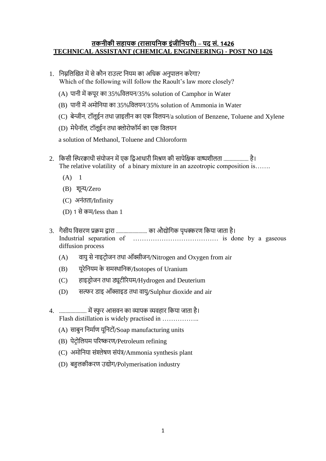## **तकनीकी सहायक (रासायननक इंजीननयरी)** – **पद सं. 1426 TECHNICAL ASSISTANT (CHEMICAL ENGINEERING) - POST NO 1426**

- 1. निम्नलिखित में से कौन राउल्ट नियम का अधिक अनुपालन करेगा? Which of the following will follow the Raoult's law more closely?
	- (A) पानी में कपूर का 35% विलयन/35% solution of Camphor in Water
	- (B) पानी में अमोनिया का 35% विलयन/35% solution of Ammonia in Water
	- $(C)$  बेन्जीन, टॉलूईन तथा ज़ाइलीन का एक विलयन/a solution of Benzene, Toluene and Xylene
	- (D) मेथैनॉल, टॉलूईन तथा क्लोरोफॉर्म का एक विलयन

a solution of Methanol, Toluene and Chloroform

- 2. किसी स्थिरक्वाथी संयोजन में एक द्विआधारी मिश्रण की सापेक्षिक वाष्पशीलता .................... है। The relative volatility of a binary mixture in an azeotropic composition is…….
	- $(A)$  1
	- (B) शून्य/Zero
	- (C) अनंतता/Infinity
	- (D) 1 से कम/less than 1
- 3. गैसीय विसरण प्रक्रम द्वारा ........................... का औद्योगिक पृथक्करण किया जाता है। Industrial separation of ………………………………… is done by a gaseous diffusion process
	- (A) वायु से नाइट्रोजन तथा ऑक्सीजन/Nitrogen and Oxygen from air
	- (B) यूरेनियम के समथथानिक/Isotopes of Uranium
	- (C) हाइड्रोजन तथा ड्यूटीरियम/Hydrogen and Deuterium
	- (D) सल्फर ड्ाइ ऑक्साइड् तथा िायु/Sulphur dioxide and air
- 4. ...................... में स्फु र आसिि का व्यापक व्यिहार नकया जाता है। Flash distillation is widely practised in .................
	- (A) साबुन निर्माण यूनिटों/Soap manufacturing units
	- (B) पेट्रोलियम परिष्करण/Petroleum refining
	- (C) अमोनिया संश्लेषण संयंत्र/Ammonia synthesis plant
	- (D) बहुिकीकरण उद्योग/Polymerisation industry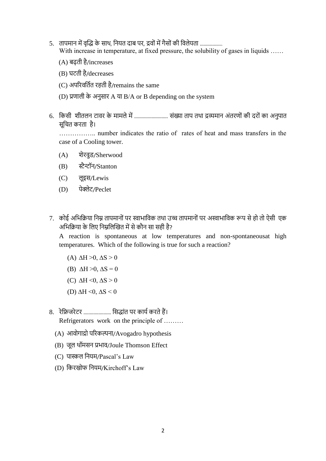- 5. तापमान में वृद्धि के साथ, नियत दाब पर, द्रवों में गैसों की विलेयता .................. With increase in temperature, at fixed pressure, the solubility of gases in liquids ......
	- (A) बढ़ती है/increases
	- (B) घटती है/decreases
	- (C) अपरिवर्तित रहती है/remains the same
	- $(D)$  प्रणाली के अनुसार A या B/A or B depending on the system
- 6. किसी शीतलन टावर के मामले में ............................... संख्या ताप तथा द्रव्यमान अंतरणों की दरों का अनुपात सूनित करता है।

…………….. number indicates the ratio of rates of heat and mass transfers in the case of a Cooling tower.

- (A) शेरवुड/Sherwood
- (B) स्टैन्टॉन/Stanton
- (C) िूइस/Lewis
- (D) पेक्लेट/Peclet
- 7. कोई अभिक्रिया निम्न तापमानों पर स्वाभाविक तथा उच्च तापमानों पर अस्वाभाविक रूप से हो तो ऐसी एक अनिनक्रया के निए निम्ननिखित में से कौि सा सही है?

A reaction is spontaneous at low temperatures and non-spontaneousat high temperatures. Which of the following is true for such a reaction?

- (A)  $\Delta H > 0$ ,  $\Delta S > 0$
- (B)  $\Delta H > 0$ ,  $\Delta S = 0$
- (C)  $\Delta H \leq 0$ ,  $\Delta S \geq 0$
- (D)  $\Delta H \le 0$ ,  $\Delta S \le 0$
- 8. रेफ्रिजरेटर ....................... सिद्धांत पर कार्य करते हैं। Refrigerators work on the principle of ………
	- (A) आवोगाद्रो परिकल्पना/Avogadro hypothesis
	- (B) जूल थॉमसन प्रभाव/Joule Thomson Effect
	- (C) पास्कि नियम/Pascal's Law
	- (D) नकरिोफ नियम/Kirchoff's Law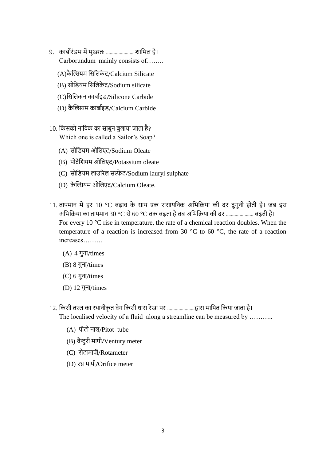- 9. काबोरंड्म में मुख्यतः ...................... शानमि है। Carborundum mainly consists of……..
	- (A)कै खियम नसनिके ट/Calcium Silicate
	- (B) सोनड्यम नसनिके ट/Sodium silicate
	- (C)नसनिकि काबामइड्/Silicone Carbide
	- (D) कैल्सियम कार्बाइड/Calcium Carbide
- 10. किसको नाविक का साबुन बुलाया जाता है? Which one is called a Sailor's Soap?
	- (A) सोनड्यम ओनिएट/Sodium Oleate
	- (B) पोटैनशयम ओनिएट/Potassium oleate
	- (C) सोडियम लाउरिल सल्फेट/Sodium lauryl sulphate
	- (D) कै खियम ओनिएट/Calcium Oleate.
- 11. तापमान में हर 10 °C बढ़ाव के साथ एक रासायनिक अभिक्रिया की दर दुगुनी होती है। जब इस अनिनक्रया का तापमाि 30 °C से 60 °C तक बढ़ता है तब अनिनक्रया की दर ...................... बढ़ती है। For every 10 °C rise in temperature, the rate of a chemical reaction doubles. When the temperature of a reaction is increased from 30 °C to 60 °C, the rate of a reaction increases………
	- $(A)$  4 गुना/times
	- $(B)$  8 गुना/times
	- $(C)$  6 गुना/times
	- $(D)$  12 गुना/times
- 12. नकसी तरि का थथािीकृ त िेग नकसी िारा रेिा पर ......................िारा मानपत नकया जाता है। The localised velocity of a fluid along a streamline can be measured by ..........
	- (A) पीटो नाल/Pitot tube
	- (B) िैन्टुरी मापी/Ventury meter
	- (C) रोटामापी/Rotameter
	- (D) रंध्र मापी/Orifice meter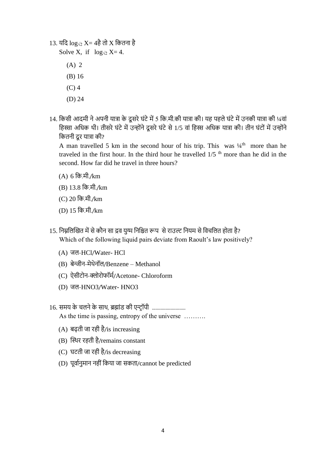13. यनद log√2 X= 4है तो X नकतिा है

Solve X, if  $log_{\sqrt{2}} X = 4$ .

(A) 2

- (B) 16
- (C) 4
- (D) 24
- 14. किसी आदमी ने अपनी यात्रा के दूसरे घंटे में 5 कि.मी.की यात्रा की। यह पहले घंटे में उनकी यात्रा की ¼वां हिस्सा अधिक थी। तीसरे घंटे में उन्होंने दूसरे घंटे से 1/5 वां हिस्स अधिक यात्रा की। तीन घंटों में उन्होंने कितनी दूर यात्रा की?

A man travelled 5 km in the second hour of his trip. This was  $\frac{1}{4}$ <sup>th</sup> more than he traveled in the first hour. In the third hour he travelled  $1/5$ <sup>th</sup> more than he did in the second. How far did he travel in three hours?

- (A) 6 नक.मी./km
- (B) 13.8 नक.मी./km
- (C) 20 नक.मी./km
- (D) 15 नक.मी./km
- 15. निम्नलिखित में से कौन सा द्रव युग्म निश्चित रूप से राउल्ट नियम से विचलित होता है? Which of the following liquid pairs deviate from Raoult's law positively?
	- (A) जल-HCl/Water- HCl
	- (B) बेन्जीन-मेथेनॉल/Benzene Methanol
	- (C) ऐसीटोन-क्लोरोफॉर्म/Acetone- Chloroform
	- (D) जल-HNO3/Water- HNO3
- 16. समय के चलने के साथ, ब्रह्मांड की एन्ट्रॉपी ................................. As the time is passing, entropy of the universe .........
	- (A) बढ़ती जा रही है/is increasing
	- (B) खथथर रहती है/remains constant
	- (C) घटती जा रही है/is decreasing
	- (D) पूर्वानुमान नहीं किया जा सकता/cannot be predicted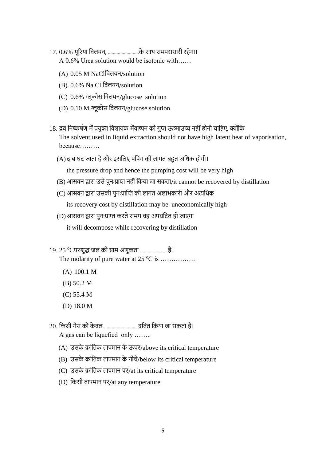17. 0.6% यूररया निियि, .........................के साथ समपरासारी रहेगा।

A 0.6% Urea solution would be isotonic with……

- (A) 0.05 M NaClविलयन/solution
- (B) 0.6% Na Cl विलयन/solution
- (C) 0.6% ग्लूकोस विलयन/glucose solution
- (D) 0.10 M ग्लूकोस विलयन/glucose solution
- 18. द्रव निष्कर्षण में प्रयुक्त विलायक मेंवाष्पन की गुप्त ऊष्माउच्च नहीं होनी चाहिए, क्योंकि The solvent used in liquid extraction should not have high latent heat of vaporisation, because………
	- (A)दाब घट जाता है और इसनिए पंनपंग की िागत बहुत अनिक होगी।

the pressure drop and hence the pumping cost will be very high

- (B) आसवन द्वारा उसे पुनःप्राप्त नहीं किया जा सकता/it cannot be recovered by distillation
- (C) आसवन द्वारा उसकी पुनःप्राप्ति की लागत अलाभकारी और अत्यधिक

its recovery cost by distillation may be uneconomically high

- (D) आसवन द्वारा पुनःप्राप्त करते समय वह अपघटित हो जाएगा it will decompose while recovering by distillation
- 19. 25 °Cपरशुद्ध जल की ग्राम अणुकता ....................... है। The molarity of pure water at  $25^{\circ}$ C is …………….
	- (A) 100.1 M
	- (B) 50.2 M
	- (C) 55.4 M
	- (D) 18.0 M
- 20. नकसी गैस को के िि .......................... द्रनित नकया जा सकता है। A gas can be liquefied only ……..
	- (A) उसके क्रांनतक तापमाि के ऊपर/above its critical temperature
	- (B) उसके क्रांतिक तापमान के नीचे/below its critical temperature
	- (C) उसके क्रांनतक तापमाि पर/at its critical temperature
	- (D) किसी तापमान पर/at any temperature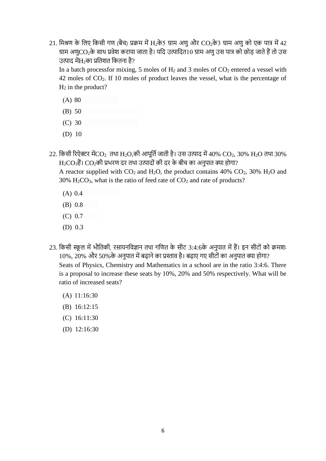21. मिश्रण के लिए किसी गण (बैच) प्रक्रम में H2के5 ग्राम अणु और CO2के3 ग्राम अणु को एक पात्र में 42 ग्राम अणुCO2के साथ प्रवेश कराया जाता है। यदि उत्पादित10 ग्राम अणु उस पात्र को छोड़ जाते हैं तो उस उत्पाद में $\rm{H}_{2}$ का प्रतिशत कितना है?

In a batch processfor mixing, 5 moles of  $H_2$  and 3 moles of  $CO_2$  entered a vessel with 42 moles of CO2. If 10 moles of product leaves the vessel, what is the percentage of  $H_2$  in the product?

- (A) 80
- (B) 50
- (C) 30
- (D) 10

22. किसी रिऐक्टर मेंCO<sub>2</sub> तथा H<sub>2</sub>O,की आपूर्ति जाती है। उस उत्पाद में 40% CO<sub>2</sub>, 30% H<sub>2</sub>O तथा 30%  $\rm\,H_2CO_3$ हैं।  $\rm\,CO_2$ की प्रभरण दर तथा उत्पादों की दर के बीच का अनुपात क्या होगा?

A reactor supplied with  $CO_2$  and  $H_2O$ , the product contains 40%  $CO_2$ , 30%  $H_2O$  and  $30\%$  H<sub>2</sub>CO<sub>3</sub>, what is the ratio of feed rate of CO<sub>2</sub> and rate of products?

- (A) 0.4
- (B) 0.8
- (C) 0.7
- (D) 0.3
- 23. किसी स्कूल में भौतिकी, रसायनविज्ञान तथा गणित के सीट 3:4:6के अनुपात में हैं। इन सीटों को क्रमशः 10%, 20% और 50%के अनुपात में बढ़ाने का प्रस्ताव है। बढ़ाए गए सीटों का अनुपात क्या होगा? Seats of Physics, Chemistry and Mathematics in a school are in the ratio 3:4:6. There is a proposal to increase these seats by 10%, 20% and 50% respectively. What will be ratio of increased seats?
	- (A) 11:16:30
	- (B) 16:12:15
	- (C) 16:11:30
	- (D) 12:16:30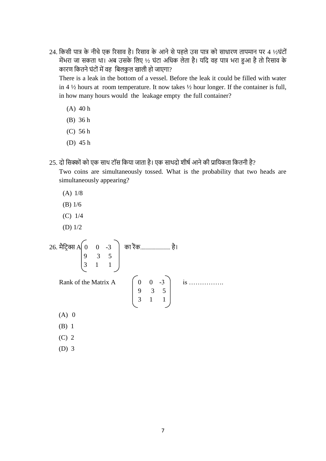24. किसी पात्र के नीचे एक रिसाव है। रिसाव के आने से पहले उस पात्र को साधारण तापमान पर 4 ½घंटों मेंभरा जा सकता था। अब उसके लिए ½ घंटा अधिक लेता है। यदि वह पात्र भरा हुआ है तो रिसाव के कारण कितने घंटों में वह बिलकुल खाली हो जाएगा?

There is a leak in the bottom of a vessel. Before the leak it could be filled with water in 4  $\frac{1}{2}$  hours at room temperature. It now takes  $\frac{1}{2}$  hour longer. If the container is full, in how many hours would the leakage empty the full container?

- (A) 40 h
- (B) 36 h
- (C) 56 h
- (D) 45 h
- 25. दो सिक्कों को एक साथ टॉस किया जाता है। एक साथदो शीर्ष आने की प्रायिकता कितनी है?

Two coins are simultaneously tossed. What is the probability that two heads are simultaneously appearing?

- (A) 1/8
- (B) 1/6
- (C) 1/4
- (D) 1/2

26. मैट्रिक्स A| 0 0 -3 | का रैंक............................ है। 9 3 5 3 1 1 Rank of the Matrix A  $\begin{bmatrix} 0 & 0 & -3 \end{bmatrix}$  is …………… 9 3 5 3 1 1

- $(A)$  0
- (B) 1
- (C) 2
- (D) 3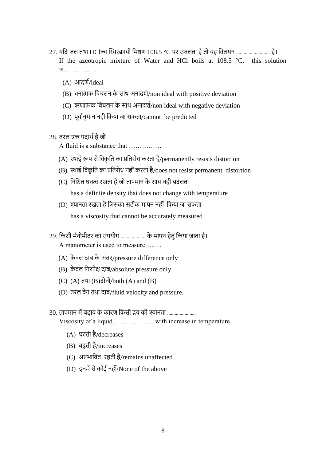- 27. यदि जल तथा HClका स्थिरक्वाथी मिश्रण 108.5 °C पर उबलता है तो यह विलयन ............................. है। If the azeotropic mixture of Water and HCl boils at 108.5 °C, this solution is…………….
	- (A) आदशम/ideal
	- $(B)$  धनात्मक विचलन के साथ अनादर्श/non ideal with positive deviation
	- (C) ऋणात्मक विचलन के साथ अनादर्श/non ideal with negative deviation
	- (D) पूर्वानुमान नहीं किया जा सकता/cannot be predicted
- 28. तरल एक पदार्थ है जो

A fluid is a substance that ……………

- $(A)$  स्थाई रूप से विकृति का प्रतिरोध करता है/permanently resists distortion
- $(B)$  स्थाई विकृति का प्रतिरोध नहीं करता है/does not resist permanent distortion
- (C) निश्चित घनत्व रखता है जो तापमान के साथ नहीं बदलता has a definite density that does not change with temperature
- (D) श्यानता रखता है जिसका सटीक मापन नहीं किया जा सकता has a viscosity that cannot be accurately measured
- 29. किसी मैनोमीटर का उपयोग ...................... के मापन हेतु किया जाता है। A manometer is used to measure……..
	- (A) केवल दाब के अंतर/pressure difference only
	- (B) केवल निरपेक्ष दाब/absolute pressure only
	- $(C)$   $(A)$  तथा  $(B)$ दोनों/both  $(A)$  and  $(B)$
	- (D) तरल वेग तथा दाब/fluid velocity and pressure.

## 30. तापमान में बढ़ाव के कारण किसी द्रव की श्यानता ..............................

Viscosity of a liquid………………. with increase in temperature.

- (A) घटती है/decreases
- (B) बढ़ती है/increases
- (C) अप्रिानित रहती है/remains unaffected
- $(D)$  इनमें से कोई नहीं/None of the above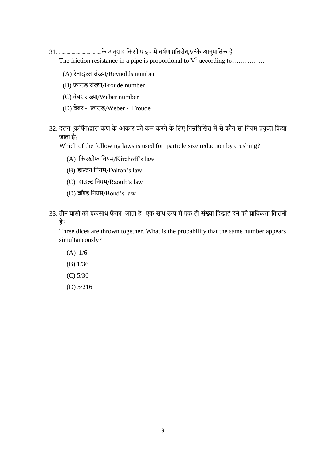31. ..................................के अिुसार नकसी पाइप मेंघषमण प्रनतरोि,V <sup>2</sup>के आिुपानतक है।

The friction resistance in a pipe is proportional to  $V^2$  according to............

- (A) रेनाड्ल्स संख्या/Reynolds number
- (B) फ्राउड संख्या/Froude number
- (C) िेबर संख्या/Weber number
- (D) िेबर िाउड्/Weber Froude
- 32. दलन (क्रर्षिग)द्वारा कण के आकार को कम करने के लिए निम्नलिखित में से कौन सा नियम प्रयुक्त किया जाता है?

Which of the following laws is used for particle size reduction by crushing?

- (A) किरखोफ नियम/Kirchoff's law
- (B) डाल्टन नियम/Dalton's law
- (C) राउल्ट नियम/Raoult's law
- (D) बॉण्ड नियम/Bond's law
- 33. तीन पासों को एकसाथ फेंका जाता है। एक साथ रूप में एक ही संख्या दिखाई देने की प्रायिकता कितनी है?

Three dices are thrown together. What is the probability that the same number appears simultaneously?

- (A) 1/6
- (B) 1/36
- (C) 5/36
- (D) 5/216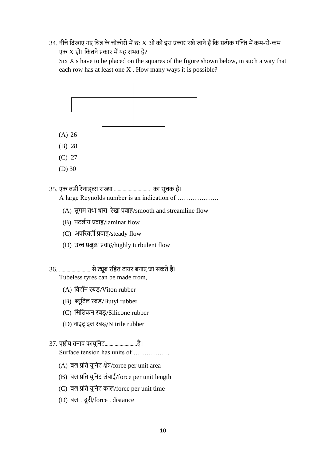34. नीचे दिखाए गए चित्र के चौकोरों में छः X ओं को इस प्रकार रखे जाने हैं कि प्रत्येक पंक्ति में कम-से-कम एक X हो। कितने प्रकार में यह संभव है?

 $Six X s$  have to be placed on the squares of the figure shown below, in such a way that each row has at least one X . How many ways it is possible?



- (A) 26
- (B) 28
- (C) 27
- (D) 30

35. एक बड़ी रेिाड््ि संख्या ............................. का सूिक है। A large Reynolds number is an indication of ……………….

- $(A)$  सुगम तथा धारा रेखा प्रवाह/smooth and streamline flow
- (B) पटिीय प्रिाह/laminar flow
- (C) अपररिती प्रिाह/steady flow
- (D) उच्च प्रिुब्ध प्रिाह/highly turbulent flow

36. ......................... से ट्यूब रनहत टायर बिाए जा सकते हैं। Tubeless tyres can be made from,

- (A) निटॉि रबड़/Viton rubber
- (B) ब्यूनटि रबड़/Butyl rubber
- (C) नसनिकि रबड़/Silicone rubber
- (D) नाइट्राइल रबड़/Nitrile rubber

37. पृष्ठीय तिाि कायूनिट..........................है। Surface tension has units of …………….

- $(A)$  बल प्रति यूनिट क्षेत्र/force per unit area
- (B) बल प्रति यूनिट लंबाई/force per unit length
- (C) बल प्रति यूनिट काल/force per unit time
- (D) बल . दूरी/force . distance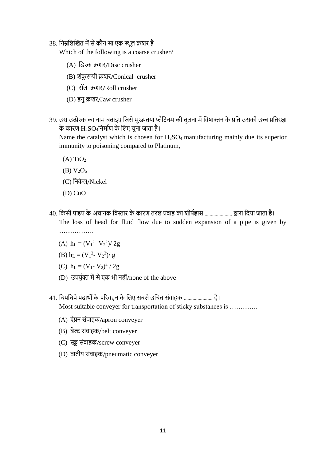38. निम्नलिखित में से कौन सा एक स्थुल क्रशर है

Which of the following is a coarse crusher?

- (A) नड्स्क क्रशर/Disc crusher
- (B) शंकु रूपी क्रशर/Conical crusher
- (C) रॉि क्रशर/Roll crusher
- (D) हिु क्रशर/Jaw crusher
- 39. उस उत्प्रेरक का नाम बताइए जिसे मुख्यतया प्लैटिनम की तुलना में विषाक्तन के प्रति उसकी उच्च प्रतिरक्षा के कारण  $\rm H_2SO_4$ निर्माण के लिए चुना जाता है।

Name the catalyst which is chosen for H<sub>2</sub>SO<sub>4</sub> manufacturing mainly due its superior immunity to poisoning compared to Platinum,

- $(A)$  TiO<sub>2</sub>
- (B)  $V_2O_5$
- (C) निकेल/Nickel
- (D) CuO
- 40. किसी पाइप के अचानक विस्तार के कारण तरल प्रवाह का शीर्षह्रास ........................... द्वारा दिया जाता है। The loss of head for fluid flow due to sudden expansion of a pipe is given by …………………
	- (A)  $h_L = (V_1^2 V_2^2)/2g$
	- (B)  $h_L = (V_1^2 V_2^2)/g$
	- (C)  $h_L = (V_1 V_2)^2 / 2g$
	- $(D)$  उपर्युक्त में से एक भी नहीं/none of the above
- 41. चिपचिपे पदार्थों के परिवहन के लिए सबसे उचित संवाहक ........................ है। Most suitable conveyer for transportation of sticky substances is ………….
	- $(A)$  ऐप्रन संवाहक/apron conveyer
	- (B) बेल्ट संवाहक/belt conveyer
	- (C) स्क्रू संवाहक/screw conveyer
	- (D) वातीय संवाहक/pneumatic conveyer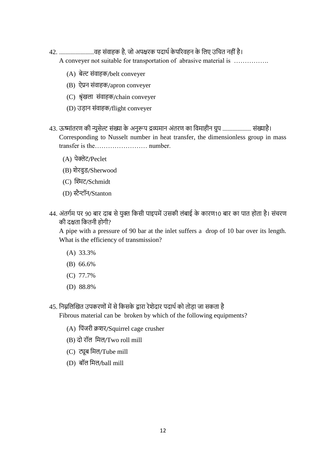- 42. ............................िह संिाहक है, जो अपिरक पदाथम के पररिहि के निए उनित िहीं है। A conveyer not suitable for transportation of abrasive material is …………….
	- (A) बेल्ट संवाहक/belt conveyer
	- $(B)$  ऐप्रन संवाहक/apron conveyer
	- (C) श्रृंखला संवाहक/chain conveyer
	- (D) उड़ान संवाहक/flight conveyer
- 43. ऊष्मांतरण की न्यूसेल्ट संख्या के अनुरूप द्रव्यमान अंतरण का विमाहीन ग्रुप ............................ संख्याहै। Corresponding to Nusselt number in heat transfer, the dimensionless group in mass transfer is the…………………… number.
	- (A) पेक्लेट/Peclet
	- (B) शेरवुड/Sherwood
	- (C) खिट/Schmidt
	- (D) स्टैन्टॉन/Stanton
- 44. अंतर्गम पर 90 बार दाब से युक्त किसी पाइपमें उसकी लंबाई के कारण10 बार का पात होता है। संचरण की दिता नकतिी होगी?

A pipe with a pressure of 90 bar at the inlet suffers a drop of 10 bar over its length. What is the efficiency of transmission?

- (A) 33.3%
- (B) 66.6%
- (C) 77.7%
- (D) 88.8%
- 45. निम्नलिखित उपकरणों में से किसके द्वारा रेशेदार पदार्थ को तोड़ा जा सकता है

Fibrous material can be broken by which of the following equipments?

- (A) नपंजरी क्रशर/Squirrel cage crusher
- (B) दो रॉल मिल/Two roll mill
- (C) ट्यूब नमि/Tube mill
- (D) बॉल मिल/ball mill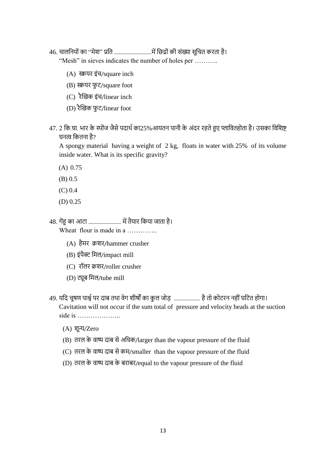46. िािनियों का "मेश" प्रनत ..............................मेंनछद्रों की संख्या सूनित करता है।

"Mesh" in sieves indicates the number of holes per ...........

- $(A)$  स्कयर इंच/square inch
- (B) स्क्रयर फुट/square foot
- $(C)$  रैखिक इंच/linear inch
- (D) रैखिक फुट/linear foot
- 47. 2 कि.ग्रा. भार के स्पोंज जैसे पदार्थ का25% आयतन पानी के अंदर रहते हुए प्लावितहोता है। उसका विशिष्ट घनत्व कितना है?

A spongy material having a weight of 2 kg, floats in water with 25% of its volume inside water. What is its specific gravity?

- (A) 0.75
- (B) 0.5
- (C) 0.4
- (D) 0.25
- 48. गेंहु का आटा .......................... में तैयार नकया जाता है। Wheat flour is made in a …………..
	- (A) हैमर क्रशर/hammer crusher
	- (B) इंपैक्ट मिल/impact mill
	- (C) रॉिर क्रशर/roller crusher
	- (D) ट्यूब नमि/tube mill
- 49. यदि चूषण पार्श्व पर दाब तथा वेग शीर्षों का कुल जोड़ ....................... है तो कोटरन नहीं घटित होगा। Cavitation will not occur if the sum total of pressure and velocity heads at the suction side is …………………
	- (A) शून्य/Zero
	- (B) तरल के वाष्प दाब से अधिक/larger than the vapour pressure of the fluid
	- $(C)$  तरल के वाष्प दाब से कम/smaller than the vapour pressure of the fluid
	- (D) तरल के वाष्प दाब के बराबर/equal to the vapour pressure of the fluid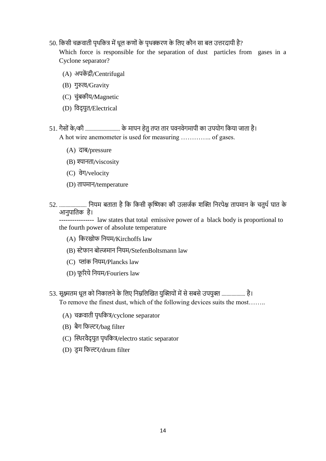50. किसी चक्रवाती पृथकित्र में धूल कणों के पृथक्करण के लिए कौन सा बल उत्तरदायी है?

Which force is responsible for the separation of dust particles from gases in a Cyclone separator?

- (A) अपकें द्री/Centrifugal
- (B) गुरुत्व/Gravity
- (C) चुंबकीय/Magnetic
- (D) विद्युत/Electrical
- 51. गैसों के /की ............................ के मापि हेतु तप्त तार पिििेगमापी का उपयोग नकया जाता है। A hot wire anemometer is used for measuring ………….. of gases.
	- (A) दाब/pressure
	- (B) श्यानता/viscosity
	- (C) िेग/velocity
	- (D) तापमाि/temperature
- 52. .......................... नियम बताता है कि किसी कृष्णिका की उत्सर्जक शक्ति निरपेक्ष तापमान के चतुर्थ घात के आनुपातिक है।

---------------- law states that total emissive power of a black body is proportional to the fourth power of absolute temperature

- (A) किरखोफ नियम/Kirchoffs law
- (B) स्टेफान बोल्जमान नियम/StefenBoltsmann law
- (C) प्लांक नियम/Plancks law
- (D) फू ररये नियम/Fouriers law
- 53. सूक्ष्मतम धूल को निकालने के लिए निम्नलिखित युक्तियों में से सबसे उपयुक्त ................... है। To remove the finest dust, which of the following devices suits the most……..
	- $(A)$  चक्रवाती पृथकित्र/cyclone separator
	- (B) बैग नफल्टर/bag filter
	- (C) खथथरिैद् युत पृथनकत्र/electro static separator
	- (D) इम फिल्टर/drum filter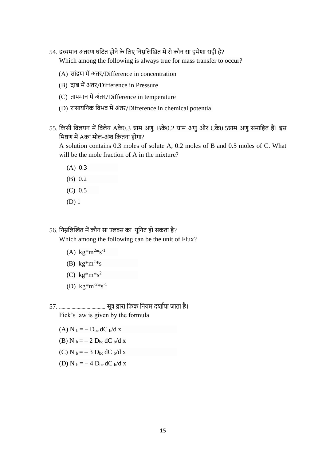- 54. द्रव्यमान अंतरण घटित होने के लिए निम्नलिखित में से कौन सा हमेशा सही है? Which among the following is always true for mass transfer to occur?
	- (A) सांद्रण में अंतर/Difference in concentration
	- (B) दाब में अंतर/Difference in Pressure
	- (C) तापमाि में अंतर/Difference in temperature
	- (D) रासायनिक विभव में अंतर/Difference in chemical potential
- 55. नकसी निियि में नििेय Aके0.3 ग्राम अणु, Bके0.2 ग्राम अणु और Cके0.5ग्राम अणु समानहत हैं। इस मिश्रण में Aका मोल-अंश कितना होगा?

A solution contains 0.3 moles of solute A, 0.2 moles of B and 0.5 moles of C. What will be the mole fraction of A in the mixture?

- (A) 0.3
- (B) 0.2
- (C) 0.5
- (D) 1

56. निम्नलिखित में कौन सा फ्लक्स का यूनिट हो सकता है? Which among the following can be the unit of Flux?

- (A)  $\text{kg}^*\text{m}^{2}*\text{s}^{-1}$
- (B)  $\text{kg}^*\text{m}^2*_\text{S}$
- (C)  $kg*m*s^2$
- (D)  $\text{kg}^*\text{m}^{-2} \text{*} \text{s}^{-1}$

57. ..................................... सूत्र िारा नफक नियम दशामया जाता है। Fick's law is given by the formula

(A) N  $_b = -D_{bc} dC_b/dx$ 

- (B) N  $_b = -2$  D<sub>bc</sub> dC <sub>b</sub>/d x
- (C) N  $_{\rm b} = -3$  D<sub>bc</sub> dC <sub>b</sub>/d x
- (D) N  $_b = -4$  D<sub>bc</sub> dC  $_b/d$  x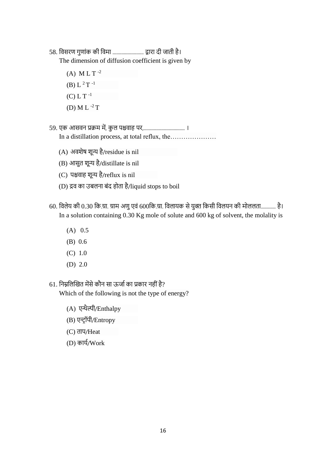58. निसरण गुणांक की निमा ......................... िारा दी जाती है।

The dimension of diffusion coefficient is given by

- (A) M L T  $^{-2}$ (B) L<sup>2</sup>T<sup>-1</sup>  $(C) L T^{-1}$
- (D) M L  $^{-2}$  T
- 59. एक आसिि प्रक्रम में, कु ि पििाह पर,................................. । In a distillation process, at total reflux, the…………………
	- (A) अवशेष शून्य है/residue is nil
	- (B) आसुत शून्य है/distillate is nil
	- (C) पििाह शून्य है/reflux is nil
	- (D) द्रव का उबलना बंद होता है/liquid stops to boil
- 60. विलेय की 0.30 कि.ग्रा. ग्राम अणु एवं 600कि.ग्रा. विलायक से युक्त किसी विलयन की मोललता............ है। In a solution containing 0.30 Kg mole of solute and 600 kg of solvent, the molality is
	- (A) 0.5
	- (B) 0.6
	- (C) 1.0
	- (D) 2.0
- 61. निम्नलिखित मेंसे कौन सा ऊर्जा का प्रकार नहीं है?

Which of the following is not the type of energy?

- (A) एन्थैल्पी/Enthalpy
- (B) एन्ट्रॉपी/Entropy
- (C) ताप/Heat
- (D) कार्य/Work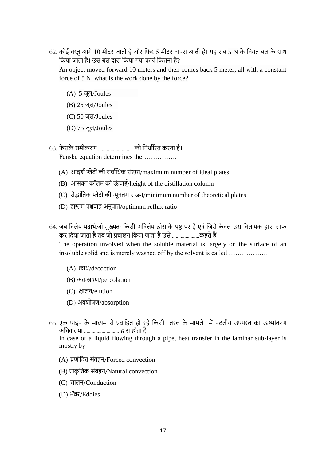62. कोई वस्तु आगे 10 मीटर जाती है और फिर 5 मीटर वापस आती है। यह सब 5 N के नियत बल के साथ किया जाता है। उस बल द्वारा किया गया कार्य कितना है?

An object moved forward 10 meters and then comes back 5 meter, all with a constant force of 5 N, what is the work done by the force?

- (A) 5 जूि/Joules
- (B) 25 जूि/Joules
- (C) 50 जूि/Joules
- (D) 75 जूि/Joules
- 63. फें सके समीकरण ............................ को नििामररत करता है।

Fenske equation determines the…………….

- $(A)$  आदर्श प्लेटों की सर्वाधिक संख्या/maximum number of ideal plates
- (B) आसवन कॉलम की ऊंचाई/height of the distillation column
- (C) सैद्धांतिक प्लेटों की न्यूनतम संख्या/minimum number of theoretical plates
- (D) इष्टतम पश्चवाह अनुपात/optimum reflux ratio
- 64. जब विलेय पदार्थ,जो मुख्यतः किसी अविलेय ठोस के पृष्ठ पर है एवं जिसे केवल उस विलायक द्वारा साफ कर दिया जाता है तब जो प्रचालन किया जाता है उसे ...........................कहते हैं।

The operation involved when the soluble material is largely on the surface of an insoluble solid and is merely washed off by the solvent is called ……………….

- (A) क्वाथ/decoction
- (B) अंतःस्रिण/percolation
- (C) क्षालन/elution
- (D) अवशोषण/absorption
- 65. एक पाइप के माध्यम से प्रवाहित हो रहे किसी तरल के मामले में पटलीय उपपरत का ऊष्मांतरण अनिकतया ............................ िारा होता है।

In case of a liquid flowing through a pipe, heat transfer in the laminar sub-layer is mostly by

- (A) प्रणोदित संवहन/Forced convection
- (B) प्राकृतिक संवहन/Natural convection
- (C) चालन/Conduction
- (D) भँवर/Eddies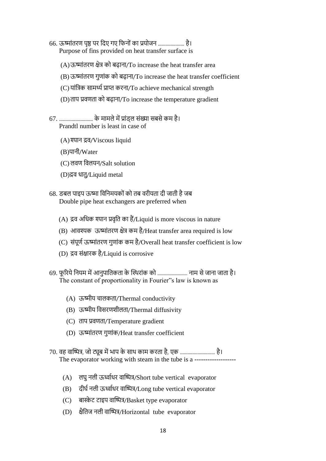- 66. ऊष्मांतरण पृष्ठ पर दिए गए फिनों का प्रयोजन ...................... है। Purpose of fins provided on heat transfer surface is
	- $(A)$ ऊष्मांतरण क्षेत्र को बढ़ाना/To increase the heat transfer area
	- (B) ऊष्मांतरण गुणांक को बढ़ाना/To increase the heat transfer coefficient
	- (C) यांनत्रक सामर्थ्म प्राप्त करिा/To achieve mechanical strength
	- (D)ताप प्रिणता को बढ़ािा/To increase the temperature gradient
- 67. ........................... के मामिे में प्रांड््ि संख्या सबसे कम है। Prandtl number is least in case of
	- (A) श्यान द्रव/Viscous liquid
	- (B)पािी/Water
	- (C) ििण निियि/Salt solution
	- (D)द्रव धातु/Liquid metal
- 68. डबल पाइप ऊष्मा विनिमयकों को तब वरीयता दी जाती है जब Double pipe heat exchangers are preferred when
	- $(A)$  द्रव अधिक श्यान प्रवृति का हैं/Liquid is more viscous in nature
	- (B) आवश्यक ऊष्मांतरण क्षेत्र कम है/Heat transfer area required is low
	- (C) संपूर्ण ऊष्मांतरण गुणांक कम है/Overall heat transfer coefficient is low
	- (D) द्रव संक्षारक है/Liquid is corrosive
- 69. फूरिये नियम में आनुपातिकता के स्थिरांक को ........................... नाम से जाना जाता है। The constant of proportionality in Fourier"s law is known as
	- (A) ऊष्मीय चालकता/Thermal conductivity
	- (B) ऊष्मीय विसरणशीलता/Thermal diffusivity
	- (C) ताप प्रिणता/Temperature gradient
	- (D) ऊष्मांतरण गुणांक/Heat transfer coefficient
- 70. वह वाष्पित्र, जो ट्यूब में भाप के साथ काम करता है, एक .............................. है। The evaporator working with steam in the tube is a ---------
	- (A) लघु नली ऊर्ध्वाधर वाष्पित्र/Short tube vertical evaporator
	- (B) दीर्घ नली ऊर्ध्वाधर वाष्पित्र/Long tube vertical evaporator
	- (C) बास्केट टाइप वाष्पित्र/Basket type evaporator
	- (D) क्षैतिज नली वाष्पित्र/Horizontal tube evaporator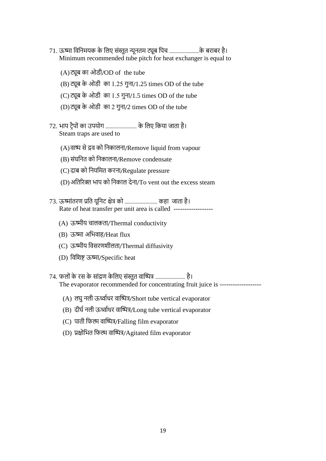- 71. ऊष्मा विनिमयक के लिए संस्तुत न्यूनतम ट्यूब पिच .........................के बराबर है। Minimum recommended tube pitch for heat exchanger is equal to
	- (A)ट्यूब का ओड्ी/OD of the tube
	- $(B)$  ट्यूब के ओडी का 1.25 गुना/1.25 times OD of the tube
	- (C) ट्यूब के ओडी का  $1.5$  गुना/ $1.5$  times OD of the tube
	- $(D)$ ट्यूब के ओडी का 2 गुना/2 times OD of the tube
- 72. भाप ट्रैपों का उपयोग ........................... के लिए किया जाता है। Steam traps are used to
	- $(A)$ वाष्प से द्रव को निकालना/Remove liquid from vapour
	- (B) संघनित को निकालना/Remove condensate
	- (C) दाब को नियनमत करिा/Regulate pressure
	- (D) अतिरिक्त भाप को निकाल देना/To vent out the excess steam
- 73. ऊष्मांतरण प्रति युनिट क्षेत्र को ................................. कहा जाता है। Rate of heat transfer per unit area is called ------------------
	- (A) ऊष्मीय चालकता/Thermal conductivity
	- (B) ऊष्मा अभिवाह/Heat flux
	- (C) ऊष्मीय निसरणशीिता/Thermal diffusivity
	- (D) निनशष्ट ऊष्मा/Specific heat
- 74. फलों के रस के सांद्रण केलिए संस्तुत वाष्पित्र ......................... है। The evaporator recommended for concentrating fruit juice is ---------------------
	- $(A)$  लघु नली ऊर्ध्वाधर वाष्पित्र/Short tube vertical evaporator
	- (B) दीर्घ नली ऊर्ध्वाधर वाष्पित्र/Long tube vertical evaporator
	- (C) पाती फिल्म वाष्पित्र/Falling film evaporator
	- $(D)$  प्रक्षोभित फिल्म वाष्पित्र/Agitated film evaporator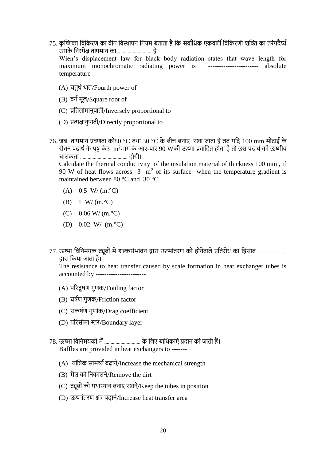- 75. कृष्णिका विकिरण का वीन विस्थापन नियम बताता है कि सर्वाधिक एकवर्णी विकिरणी शक्ति का तरंगदैर्घ्य उसके निरपेक्ष तापमान का ............................ है। Wien's displacement law for black body radiation states that wave length for maximum monochromatic radiating power is ----------------------- absolute temperature
	- $(A)$  चतुर्थ धात/Fourth power of
	- (B) वर्ग मूल/Square root of
	- (C) प्रनतिोमािुपाती/Inversely proportional to
	- (D) प्रत्यिािुपाती/Directly proportional to
- $76$ . जब )तापमान प्रवणता को80 °C तथा 30 °C के बीच बनाए रखा जाता है तब यदि 100 mm मोटाई के रोधन पदार्थ के पृष्ठ के3 m<sup>2</sup>भाग के आर-पार 90 Wकी ऊष्मा प्रवाहित होता है तो उस पदार्थ की ऊष्मीय िािकता ...................................... होगी। Calculate the thermal conductivity of the insulation material of thickness 100 mm , if

90 W of heat flows across  $3 \text{ m}^2$  of its surface when the temperature gradient is maintained between 80 °C and 30 °C

- $(A)$  0.5 W/ (m. °C)
- (B) 1 W/ (m. $^{\circ}$ C)
- (C)  $0.06 \text{ W} / (\text{m}.\text{°C})$
- (D) 0.02 W/ (m.°C)

77. ऊष्मा विनिमयक ट्यूबों में शल्कसंभावन द्वारा ऊष्मांतरण को होनेवाले प्रतिरोध का हिसाब ...................... िारा नकया जाता है।

The resistance to heat transfer caused by scale formation in heat exchanger tubes is accounted by -----------------------

- (A) पररदू षण गुणक/Fouling factor
- (B) घषमण गुणक/Friction factor
- (C) संकषमण गुणांक/Drag coefficient
- (D) पररसीमा स्तर/Boundary layer
- 78. ऊष्मा विनिमयकों में ............................... के लिए बाधिकाएं प्रदान की जाती हैं। Baffles are provided in heat exchangers to -------
	- (A) यांत्रिक सामर्थ्य बढ़ाने/Increase the mechanical strength
	- $(B)$  मैल को निकालने/Remove the dirt
	- $(C)$  ट्यूबों को यथास्थान बनाए रखने/Keep the tubes in position
	- (D) ऊष्मांतरण क्षेत्र बढ़ाने/Increase heat transfer area